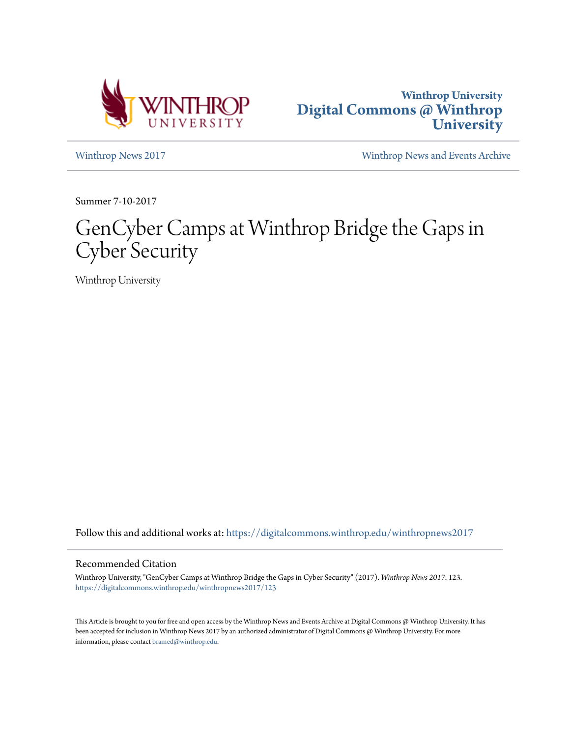



[Winthrop News 2017](https://digitalcommons.winthrop.edu/winthropnews2017?utm_source=digitalcommons.winthrop.edu%2Fwinthropnews2017%2F123&utm_medium=PDF&utm_campaign=PDFCoverPages) [Winthrop News and Events Archive](https://digitalcommons.winthrop.edu/winthropnewsarchives?utm_source=digitalcommons.winthrop.edu%2Fwinthropnews2017%2F123&utm_medium=PDF&utm_campaign=PDFCoverPages)

Summer 7-10-2017

# GenCyber Camps at Winthrop Bridge the Gaps in Cyber Security

Winthrop University

Follow this and additional works at: [https://digitalcommons.winthrop.edu/winthropnews2017](https://digitalcommons.winthrop.edu/winthropnews2017?utm_source=digitalcommons.winthrop.edu%2Fwinthropnews2017%2F123&utm_medium=PDF&utm_campaign=PDFCoverPages)

## Recommended Citation

Winthrop University, "GenCyber Camps at Winthrop Bridge the Gaps in Cyber Security" (2017). *Winthrop News 2017*. 123. [https://digitalcommons.winthrop.edu/winthropnews2017/123](https://digitalcommons.winthrop.edu/winthropnews2017/123?utm_source=digitalcommons.winthrop.edu%2Fwinthropnews2017%2F123&utm_medium=PDF&utm_campaign=PDFCoverPages)

This Article is brought to you for free and open access by the Winthrop News and Events Archive at Digital Commons @ Winthrop University. It has been accepted for inclusion in Winthrop News 2017 by an authorized administrator of Digital Commons @ Winthrop University. For more information, please contact [bramed@winthrop.edu](mailto:bramed@winthrop.edu).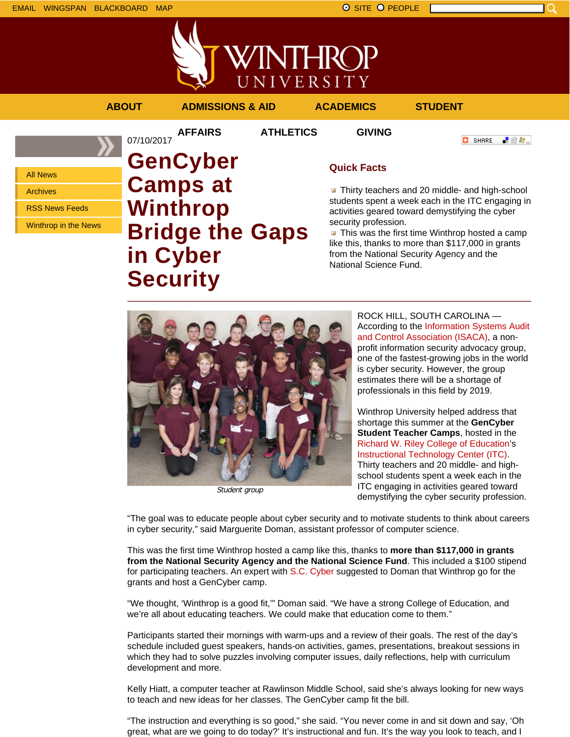EMAIL WINGSPAN BLACKBOARD MAP SITE PEOPLE SAND A SITE PEOPLE

NTHRC UNIVERSITY

**AFFAIRS ATHLETICS GIVING**

07/10/2017

**ABOUT ADMISSIONS & AID ACADEMICS STUDENT**

All News Archives

RSS News Feeds

Winthrop in the News

**GenCyber Camps at Winthrop Bridge the Gaps in Cyber Security**

# **Quick Facts**

**Thirty teachers and 20 middle- and high-school** students spent a week each in the ITC engaging in activities geared toward demystifying the cyber security profession.

 $\blacksquare$  This was the first time Winthrop hosted a camp like this, thanks to more than \$117,000 in grants from the National Security Agency and the National Science Fund.



Student group

ROCK HILL, SOUTH CAROLINA — According to the Information Systems Audit and Control Association (ISACA), a nonprofit information security advocacy group, one of the fastest-growing jobs in the world is cyber security. However, the group estimates there will be a shortage of professionals in this field by 2019.

Winthrop University helped address that shortage this summer at the **GenCyber Student Teacher Camps**, hosted in the Richard W. Riley College of Education's Instructional Technology Center (ITC). Thirty teachers and 20 middle- and highschool students spent a week each in the ITC engaging in activities geared toward demystifying the cyber security profession.

"The goal was to educate people about cyber security and to motivate students to think about careers in cyber security," said Marguerite Doman, assistant professor of computer science.

This was the first time Winthrop hosted a camp like this, thanks to **more than \$117,000 in grants from the National Security Agency and the National Science Fund**. This included a \$100 stipend for participating teachers. An expert with S.C. Cyber suggested to Doman that Winthrop go for the grants and host a GenCyber camp.

"We thought, 'Winthrop is a good fit,'" Doman said. "We have a strong College of Education, and we're all about educating teachers. We could make that education come to them."

Participants started their mornings with warm-ups and a review of their goals. The rest of the day's schedule included guest speakers, hands-on activities, games, presentations, breakout sessions in which they had to solve puzzles involving computer issues, daily reflections, help with curriculum development and more.

Kelly Hiatt, a computer teacher at Rawlinson Middle School, said she's always looking for new ways to teach and new ideas for her classes. The GenCyber camp fit the bill.

"The instruction and everything is so good," she said. "You never come in and sit down and say, 'Oh great, what are we going to do today?' It's instructional and fun. It's the way you look to teach, and I

**O** SHARE 「验費」